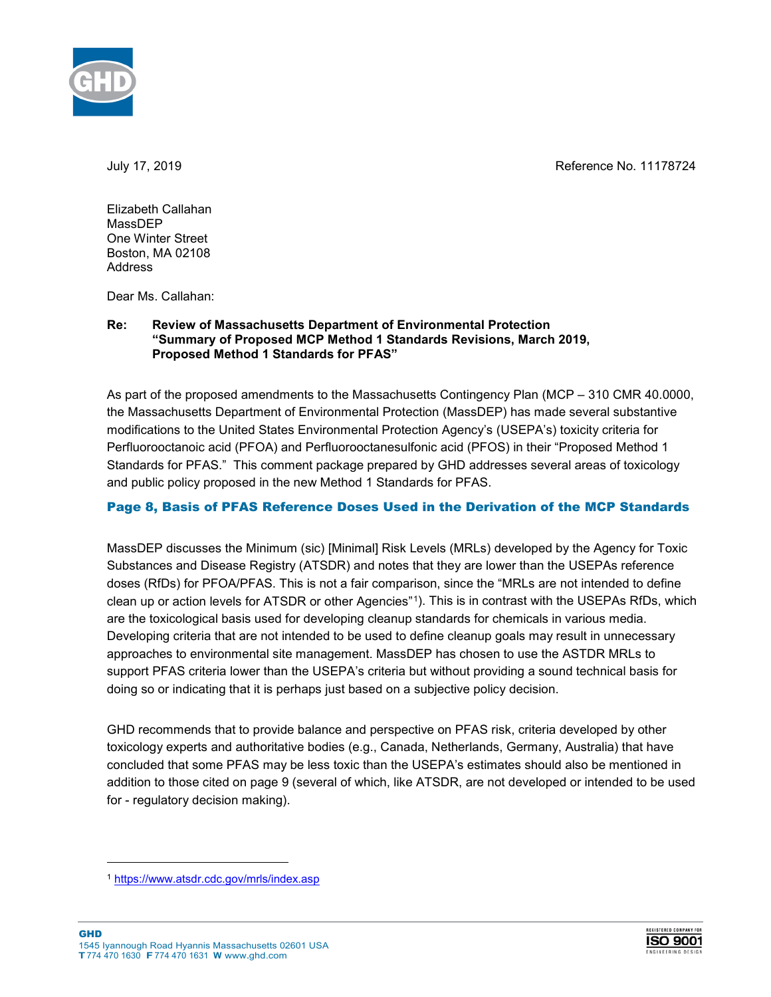July 17, 2019 Reference No. 11178724



Elizabeth Callahan MassDEP One Winter Street Boston, MA 02108 **Address** 

Dear Ms. Callahan:

## **Re: Review of Massachusetts Department of Environmental Protection "Summary of Proposed MCP Method 1 Standards Revisions, March 2019, Proposed Method 1 Standards for PFAS"**

As part of the proposed amendments to the Massachusetts Contingency Plan (MCP – 310 CMR 40.0000, the Massachusetts Department of Environmental Protection (MassDEP) has made several substantive modifications to the United States Environmental Protection Agency's (USEPA's) toxicity criteria for Perfluorooctanoic acid (PFOA) and Perfluorooctanesulfonic acid (PFOS) in their "Proposed Method 1 Standards for PFAS." This comment package prepared by GHD addresses several areas of toxicology and public policy proposed in the new Method 1 Standards for PFAS.

## Page 8, Basis of PFAS Reference Doses Used in the Derivation of the MCP Standards

MassDEP discusses the Minimum (sic) [Minimal] Risk Levels (MRLs) developed by the Agency for Toxic Substances and Disease Registry (ATSDR) and notes that they are lower than the USEPAs reference doses (RfDs) for PFOA/PFAS. This is not a fair comparison, since the "MRLs are not intended to define clean up or action levels for ATSDR or other Agencies"[1](#page-0-0)). This is in contrast with the USEPAs RfDs, which are the toxicological basis used for developing cleanup standards for chemicals in various media. Developing criteria that are not intended to be used to define cleanup goals may result in unnecessary approaches to environmental site management. MassDEP has chosen to use the ASTDR MRLs to support PFAS criteria lower than the USEPA's criteria but without providing a sound technical basis for doing so or indicating that it is perhaps just based on a subjective policy decision.

GHD recommends that to provide balance and perspective on PFAS risk, criteria developed by other toxicology experts and authoritative bodies (e.g., Canada, Netherlands, Germany, Australia) that have concluded that some PFAS may be less toxic than the USEPA's estimates should also be mentioned in addition to those cited on page 9 (several of which, like ATSDR, are not developed or intended to be used for - regulatory decision making).

-



<span id="page-0-0"></span><sup>1</sup> <https://www.atsdr.cdc.gov/mrls/index.asp>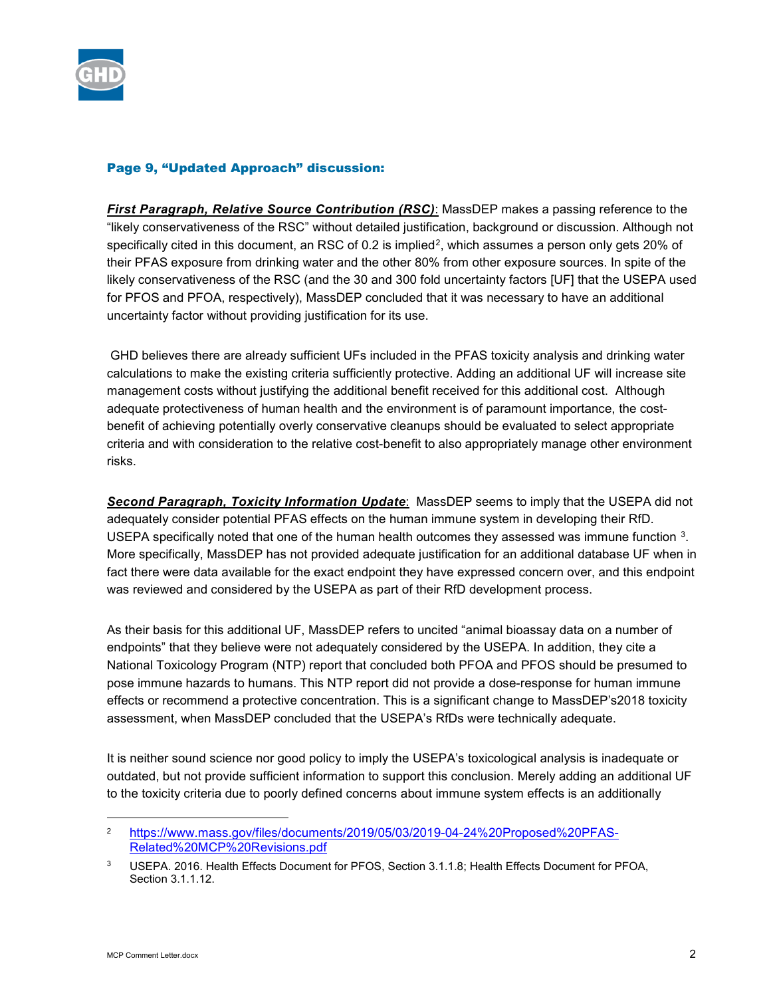

## Page 9, "Updated Approach" discussion:

*First Paragraph, Relative Source Contribution (RSC)*: MassDEP makes a passing reference to the "likely conservativeness of the RSC" without detailed justification, background or discussion. Although not specifically cited in this document, an RSC of  $0.2$  is implied<sup>2</sup>, which assumes a person only gets 20% of their PFAS exposure from drinking water and the other 80% from other exposure sources. In spite of the likely conservativeness of the RSC (and the 30 and 300 fold uncertainty factors [UF] that the USEPA used for PFOS and PFOA, respectively), MassDEP concluded that it was necessary to have an additional uncertainty factor without providing justification for its use.

GHD believes there are already sufficient UFs included in the PFAS toxicity analysis and drinking water calculations to make the existing criteria sufficiently protective. Adding an additional UF will increase site management costs without justifying the additional benefit received for this additional cost. Although adequate protectiveness of human health and the environment is of paramount importance, the costbenefit of achieving potentially overly conservative cleanups should be evaluated to select appropriate criteria and with consideration to the relative cost-benefit to also appropriately manage other environment risks.

*Second Paragraph, Toxicity Information Update*: MassDEP seems to imply that the USEPA did not adequately consider potential PFAS effects on the human immune system in developing their RfD. USEPA specifically noted that one of the human health outcomes they assessed was immune function [3](#page-1-1). More specifically, MassDEP has not provided adequate justification for an additional database UF when in fact there were data available for the exact endpoint they have expressed concern over, and this endpoint was reviewed and considered by the USEPA as part of their RfD development process.

As their basis for this additional UF, MassDEP refers to uncited "animal bioassay data on a number of endpoints" that they believe were not adequately considered by the USEPA. In addition, they cite a National Toxicology Program (NTP) report that concluded both PFOA and PFOS should be presumed to pose immune hazards to humans. This NTP report did not provide a dose-response for human immune effects or recommend a protective concentration. This is a significant change to MassDEP's2018 toxicity assessment, when MassDEP concluded that the USEPA's RfDs were technically adequate.

It is neither sound science nor good policy to imply the USEPA's toxicological analysis is inadequate or outdated, but not provide sufficient information to support this conclusion. Merely adding an additional UF to the toxicity criteria due to poorly defined concerns about immune system effects is an additionally

-

<span id="page-1-0"></span><sup>2</sup> [https://www.mass.gov/files/documents/2019/05/03/2019-04-24%20Proposed%20PFAS-](https://www.mass.gov/files/documents/2019/05/03/2019-04-24%20Proposed%20PFAS-Related%20MCP%20Revisions.pdf)[Related%20MCP%20Revisions.pdf](https://www.mass.gov/files/documents/2019/05/03/2019-04-24%20Proposed%20PFAS-Related%20MCP%20Revisions.pdf)

<span id="page-1-1"></span><sup>3</sup> USEPA. 2016. Health Effects Document for PFOS, Section 3.1.1.8; Health Effects Document for PFOA, Section 3.1.1.12.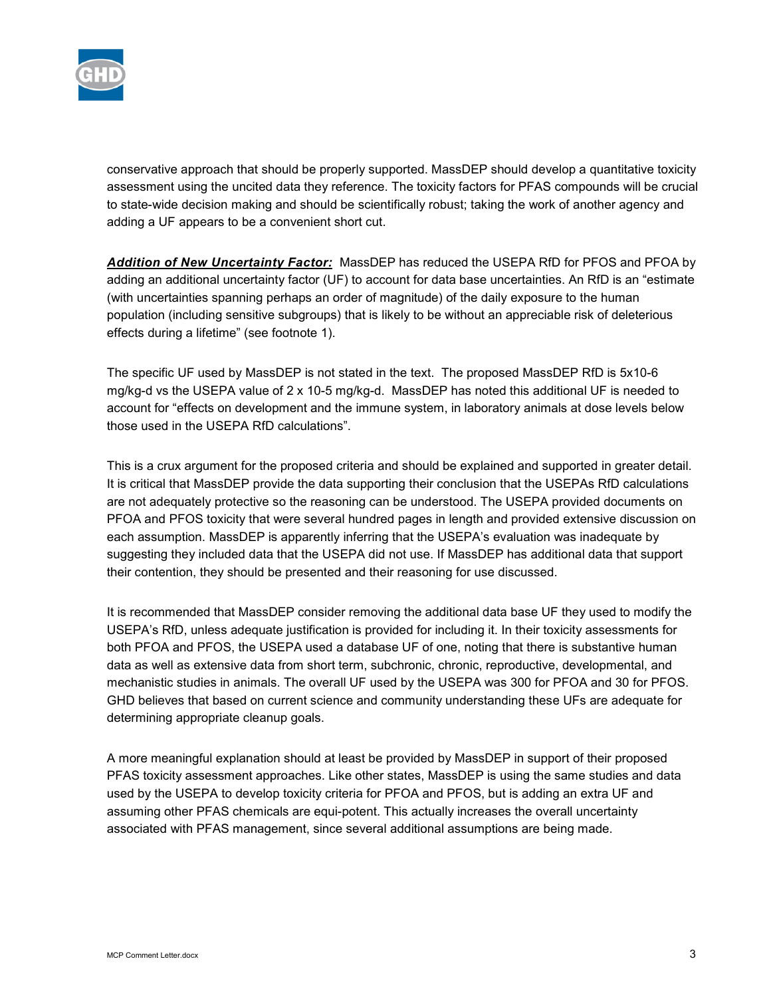

conservative approach that should be properly supported. MassDEP should develop a quantitative toxicity assessment using the uncited data they reference. The toxicity factors for PFAS compounds will be crucial to state-wide decision making and should be scientifically robust; taking the work of another agency and adding a UF appears to be a convenient short cut.

*Addition of New Uncertainty Factor:* MassDEP has reduced the USEPA RfD for PFOS and PFOA by adding an additional uncertainty factor (UF) to account for data base uncertainties. An RfD is an "estimate (with uncertainties spanning perhaps an order of magnitude) of the daily exposure to the human population (including sensitive subgroups) that is likely to be without an appreciable risk of deleterious effects during a lifetime" (see footnote 1).

The specific UF used by MassDEP is not stated in the text. The proposed MassDEP RfD is 5x10-6 mg/kg-d vs the USEPA value of 2 x 10-5 mg/kg-d. MassDEP has noted this additional UF is needed to account for "effects on development and the immune system, in laboratory animals at dose levels below those used in the USEPA RfD calculations".

This is a crux argument for the proposed criteria and should be explained and supported in greater detail. It is critical that MassDEP provide the data supporting their conclusion that the USEPAs RfD calculations are not adequately protective so the reasoning can be understood. The USEPA provided documents on PFOA and PFOS toxicity that were several hundred pages in length and provided extensive discussion on each assumption. MassDEP is apparently inferring that the USEPA's evaluation was inadequate by suggesting they included data that the USEPA did not use. If MassDEP has additional data that support their contention, they should be presented and their reasoning for use discussed.

It is recommended that MassDEP consider removing the additional data base UF they used to modify the USEPA's RfD, unless adequate justification is provided for including it. In their toxicity assessments for both PFOA and PFOS, the USEPA used a database UF of one, noting that there is substantive human data as well as extensive data from short term, subchronic, chronic, reproductive, developmental, and mechanistic studies in animals. The overall UF used by the USEPA was 300 for PFOA and 30 for PFOS. GHD believes that based on current science and community understanding these UFs are adequate for determining appropriate cleanup goals.

A more meaningful explanation should at least be provided by MassDEP in support of their proposed PFAS toxicity assessment approaches. Like other states, MassDEP is using the same studies and data used by the USEPA to develop toxicity criteria for PFOA and PFOS, but is adding an extra UF and assuming other PFAS chemicals are equi-potent. This actually increases the overall uncertainty associated with PFAS management, since several additional assumptions are being made.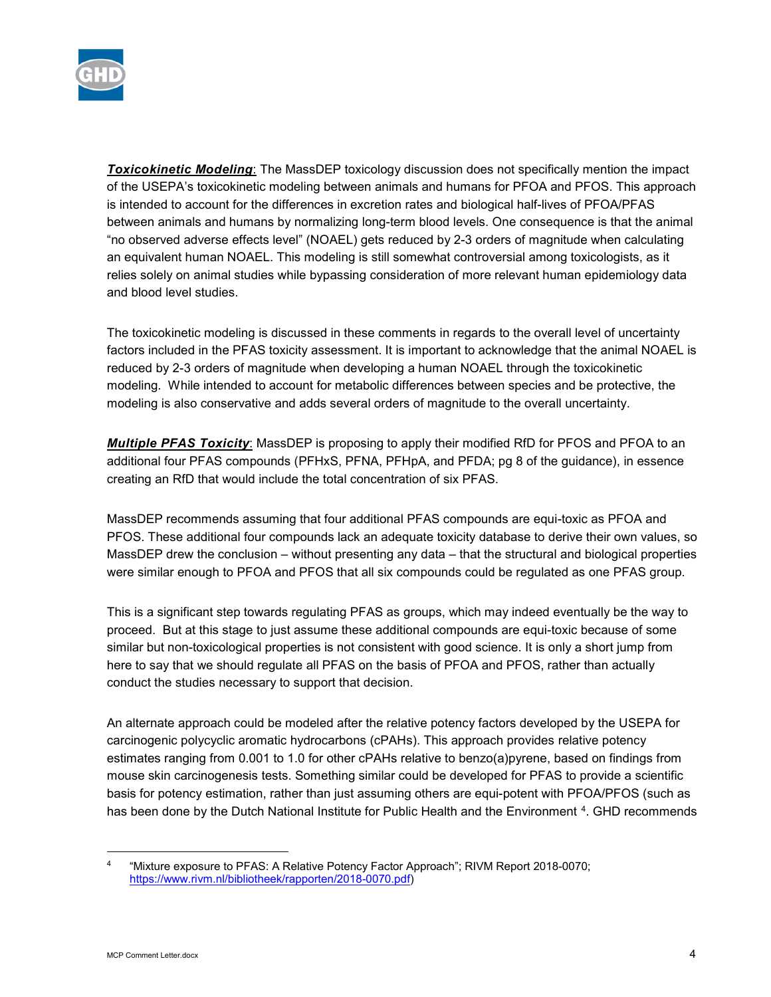

*Toxicokinetic Modeling*: The MassDEP toxicology discussion does not specifically mention the impact of the USEPA's toxicokinetic modeling between animals and humans for PFOA and PFOS. This approach is intended to account for the differences in excretion rates and biological half-lives of PFOA/PFAS between animals and humans by normalizing long-term blood levels. One consequence is that the animal "no observed adverse effects level" (NOAEL) gets reduced by 2-3 orders of magnitude when calculating an equivalent human NOAEL. This modeling is still somewhat controversial among toxicologists, as it relies solely on animal studies while bypassing consideration of more relevant human epidemiology data and blood level studies.

The toxicokinetic modeling is discussed in these comments in regards to the overall level of uncertainty factors included in the PFAS toxicity assessment. It is important to acknowledge that the animal NOAEL is reduced by 2-3 orders of magnitude when developing a human NOAEL through the toxicokinetic modeling. While intended to account for metabolic differences between species and be protective, the modeling is also conservative and adds several orders of magnitude to the overall uncertainty.

*Multiple PFAS Toxicity*: MassDEP is proposing to apply their modified RfD for PFOS and PFOA to an additional four PFAS compounds (PFHxS, PFNA, PFHpA, and PFDA; pg 8 of the guidance), in essence creating an RfD that would include the total concentration of six PFAS.

MassDEP recommends assuming that four additional PFAS compounds are equi-toxic as PFOA and PFOS. These additional four compounds lack an adequate toxicity database to derive their own values, so MassDEP drew the conclusion – without presenting any data – that the structural and biological properties were similar enough to PFOA and PFOS that all six compounds could be regulated as one PFAS group.

This is a significant step towards regulating PFAS as groups, which may indeed eventually be the way to proceed. But at this stage to just assume these additional compounds are equi-toxic because of some similar but non-toxicological properties is not consistent with good science. It is only a short jump from here to say that we should regulate all PFAS on the basis of PFOA and PFOS, rather than actually conduct the studies necessary to support that decision.

An alternate approach could be modeled after the relative potency factors developed by the USEPA for carcinogenic polycyclic aromatic hydrocarbons (cPAHs). This approach provides relative potency estimates ranging from 0.001 to 1.0 for other cPAHs relative to benzo(a)pyrene, based on findings from mouse skin carcinogenesis tests. Something similar could be developed for PFAS to provide a scientific basis for potency estimation, rather than just assuming others are equi-potent with PFOA/PFOS (such as has been done by the Dutch National Institute for Public Health and the Environment [4](#page-3-0). GHD recommends

<span id="page-3-0"></span> <sup>4</sup> "Mixture exposure to PFAS: A Relative Potency Factor Approach"; RIVM Report 2018-0070; [https://www.rivm.nl/bibliotheek/rapporten/2018-0070.pdf\)](https://www.rivm.nl/bibliotheek/rapporten/2018-0070.pdf)